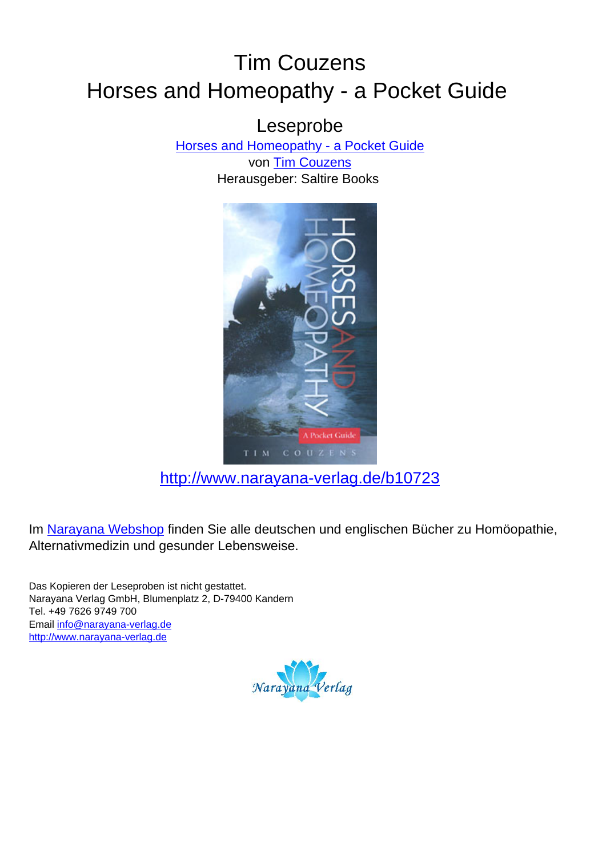## Tim Couzens Horses and Homeopathy - a Pocket Guide

Leseprobe

[Horses and Homeopathy - a Pocket Guide](http://www.narayana-verlag.de/Horses-and-Homeopathy-a-Pocket-Guide-Tim-Couzens/b10723/partner/leseprobe)

von [Tim Couzens](http://www.narayana-verlag.de/Tim-Couzens/a1960/partner/leseprobe) Herausgeber: Saltire Books



[http://www.narayana-verlag.de/b10723](http://www.narayana-verlag.de/Horses-and-Homeopathy-a-Pocket-Guide-Tim-Couzens/b10723/partner/leseprobe)

Im [Narayana Webshop](http://www.narayana-verlag.de/partner/leseprobe) finden Sie alle deutschen und englischen Bücher zu Homöopathie, Alternativmedizin und gesunder Lebensweise.

Das Kopieren der Leseproben ist nicht gestattet. Narayana Verlag GmbH, Blumenplatz 2, D-79400 Kandern Tel. +49 7626 9749 700 Email [info@narayana-verlag.de](mailto:info@narayana-verlag.de) [http://www.narayana-verlag.de](http://www.narayana-verlag.de/partner/leseprobe)

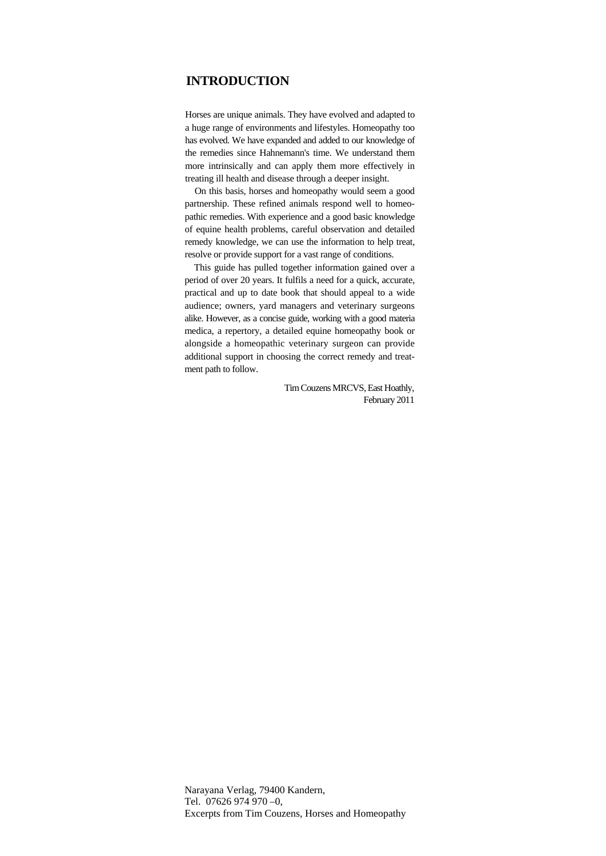## **INTRODUCTION**

Horses are unique animals. They have evolved and adapted to a huge range of environments and lifestyles. Homeopathy too has evolved. We have expanded and added to our knowledge of the remedies since Hahnemann's time. We understand them more intrinsically and can apply them more effectively in treating ill health and disease through a deeper insight.

On this basis, horses and homeopathy would seem a good partnership. These refined animals respond well to homeopathic remedies. With experience and a good basic knowledge of equine health problems, careful observation and detailed remedy knowledge, we can use the information to help treat, resolve or provide support for a vast range of conditions.

This guide has pulled together information gained over a period of over 20 years. It fulfils a need for a quick, accurate, practical and up to date book that should appeal to a wide audience; owners, yard managers and veterinary surgeons alike. However, as a concise guide, working with a good materia medica, a repertory, a detailed equine homeopathy book or alongside a homeopathic veterinary surgeon can provide additional support in choosing the correct remedy and treatment path to follow.

> Tim Couzens MRCVS, East Hoathly, February 2011